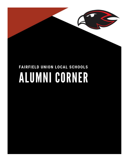

# FAIRFIELD UNION LOCAL SCHOOLS ALUMNI CORNER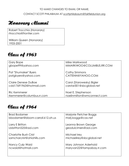#### TO MAKE CHANGES TO EMAIL OR NAME,

#### CONTACT SCOTT PHILABAUM AT [scottphilabaum@fairfieldunion.org](mailto:scottphilabaum@fairfieldunion.org)

#### Ibonorary Alumni

Robert Trocchia (Honorary) rtrocchia@frontier.com

William Queen (Honorary) 1933-2001

#### Class of 1963

| Gary Bope                 | Mike Markwood              |
|---------------------------|----------------------------|
| gbope99@yahoo.com         | MMARKWOO@COLUMBUS.RR.COM   |
| Pat "Shumaker" Byers      | <b>Cathy Simmons</b>       |
| patgbyers@yahoo.com       | CATTENN@YAHOO.COM          |
| Claire Denese DuBoe       | Carol (Starowesky) Bigler  |
| cdd17691963@hotmail.com   | carstar301@sbcglobal.net   |
| <b>Ric Kemmerer</b>       | Noel E. Stephenson         |
| rkemmerer@columbus.rr.com | noelinmilton@wmconnect.com |

| <b>Brad Bodamer</b>              | Marjorie Fletcher Boggs   |
|----------------------------------|---------------------------|
| bbodamer@bloom-carroll.k12.oh.us | marj.boggs@cox.net        |
| Larry E Britton                  | Leanna Brown George       |
| Lbbritton525@gol.com             | geodulcimers@aol.com      |
| <b>Charlotte Bush Crist</b>      | Michael Irey              |
| samcharcrist@ohiohills.com       | michaelirey@sbcglobal.net |
| Nancy Culp Waid                  | Mary Johnson Aderhold     |
| ncwaid@hotmail.com               | maryvan22@tampabay.rr.com |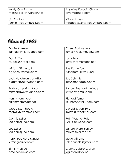| Marty Cunningham            | Angeline Koracin Christy      |
|-----------------------------|-------------------------------|
| marshall.billie@verizon.net | I christy@phad.com            |
| Jim Dunlap                  | <b>Mindy Smyers</b>           |
| jdunla1@columbus.rr.com     | mscdpasswords@columbus.rr.com |

| Daniel K. Ansel               | <b>Cheryl Paskins Mast</b> |
|-------------------------------|----------------------------|
| zanydanny47@yahoo.com         | jcmast@columbus.rr.com     |
|                               |                            |
| Don F. Cain                   | Larry Pool                 |
| rascal900@aol.com             | larrose@ameritech.net      |
| William Ginnery, Jr.          | Joe Rutherford             |
| bginnery@gmail.com            | rutherford.41@osu.edu      |
|                               |                            |
| <b>Judy Hutchison VanAtta</b> | Sue Schmitz                |
| biggranny01@yahoo.com         | jhss@greenapple.com        |
|                               |                            |
| <b>Barbara Jenkins Mason</b>  | Sandra Teegardin Wince     |
| mittenpaw56@yahoo.com         | sjwince@gmail.com          |
|                               |                            |
| Kenny Kemmerer                | <b>Richard Turner</b>      |
| Krkemmerer@att.net            | rlturner@netpluscom.com    |
|                               | Gerald J. Van Buren        |
| Gregg Mambourg                |                            |
| mams539@hotmail.com           | jhvb2008@hotmail.com       |
| <b>Connie Miller</b>          | <b>Ruth Wagner Palo</b>    |
| lou-con@juno.com              | PALOFU65@gol.com           |
|                               |                            |
| Lou Miller                    | Sandra Ward Yarkey         |
| lou-con@juno.com              | mrbike@verizon.net         |
|                               |                            |
| Karen Pedicord Mingus         | <b>Steve Williams</b>      |
| kvmingus@aol.com              | falconuncle@gmail.com      |
|                               |                            |
| <b>Billy L. Molisee</b>       | Glenna Zeigler Gibson      |
| bmolisee@msn.com              | jggibson@kyol.net          |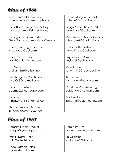| April Churchill Schmelzer                          | Donna Morgan (Pierce)                       |
|----------------------------------------------------|---------------------------------------------|
| amschmelzer@greenapple.com                         | dpierce7@columbus.rr.com                    |
| Louretta Cunningham McCoy                          | Peggy Mosier Boyer Corbin                   |
| mccoy.thomas@sbcglobal.net                         | grandmacfl@aol.com                          |
| Georgianna Davis Hartman                           | Mary Frances Myers Sanders                  |
| Georgianna.Hartman@LabOne.com                      | mfsanders80@hotmail.com                     |
|                                                    |                                             |
| Linda (Fosnaugh) Harmon                            | Linda (Potter) Miller                       |
| Hfuzzybear@aol.com                                 | LMmultistate@aol.com                        |
| Linda Gordon Fox                                   | <b>Twyla Snyder Baker</b>                   |
| lfox27@columbus.rr.com                             | twylab48@yahoo.com                          |
| Jim Graham                                         | Mike Sutton                                 |
| graham.jim@verizon.net                             | suttonmt10@sbcglobal.net                    |
|                                                    |                                             |
| Judith Highley Van Buren<br>jhvb2008@hotmail.com   | <b>Karl Tucker</b><br>karl_tucker@yahoo.com |
|                                                    |                                             |
| Larry Howdyshell                                   | Charlotte VanMeter Bigham                   |
| dooma22@netscape.com                               | cabigham@hotmail.com                        |
| Larry Leach                                        | <b>Brad Winland</b>                         |
| mrbassman66@hotmail.com                            | jbcwin48@columbus.rr.com                    |
|                                                    |                                             |
| Sharon (Warner) Mohler<br>SImohler@columbus.rr.com |                                             |

| <b>Barbara Highley Moyer</b>            | <b>Harold Rowles</b>     |
|-----------------------------------------|--------------------------|
| bmoyer@greenapple.com                   | harold.rowles@gmail.com  |
| Fran Hillyard Drake                     | Ed Wilkinson             |
| cf423@ohiohills.com                     | ewilkinson52@hotmail.com |
| Linda Outcalt Fields<br>ngami51@aol.com |                          |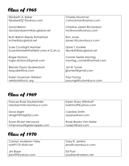| Elizabeth A. Baker                    | <b>Charles Hockman</b>       |
|---------------------------------------|------------------------------|
| lizbaker6221@yahoo.com                | cwhockman@yahoo.com          |
| David Brehm                           | Christine Jarrett Richardson |
| davidandsamm@sbcglobal.net            | mcfirwood@yahoo.com          |
| Ruth Brehm Reedy Rutherford           | Ron Jones                    |
| rruthe@sbcglobal.net                  | rjones1@columbus.rr.com      |
| <b>Susie Courtright Hambel</b>        | Dane T. Kunkler              |
| SusanHambel@fairfield-union.k12.oh.us | dkunk50@sbcglobal.net        |
| Roger Dickson                         | Connie Teeter Montag         |
| roger.dickson2@gmail.com              | montag_connie@hotmail.com    |
| Brenda Dyson Quakenbush               | Jon B. Turner                |
| kbquake@live.com                      | jijturner3@gmail.com         |
| Karen Guseman Weldon                  | Paul Young                   |
| weldonk@oclc.org                      | pyoung6@columbus.rr.com      |

#### Class of 1969

| Frances Rose Daubenmier  | Karen Shaw Wilmhoff    |
|--------------------------|------------------------|
| rdaubenm@columbus.rr.com | kwilmhoff@yahoo.com    |
| Dave Might               | Caroline Smith         |
| dmight@insighbb.com      | opazoe@aol.com         |
| Susan Ricket Henwood     | Roxie Brooks Van Meter |
| mhenwood@greenapple.com  | roxiejv3@aol.com       |

| Carolyn Anderson Taley | Gary R. Jenkins      |
|------------------------|----------------------|
| rodt91751@att.net      | jenx@columbus.rr.com |
| Jim Bope               | Ed Pool              |
| jbins99@yahoo.com      | poolfam@verizon.net  |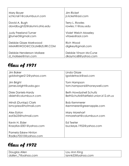| Mary Boyer                  | Jim Ricket                  |
|-----------------------------|-----------------------------|
| schlcnslr1@columbus.rr.com  | jr.ricket@aol.com           |
| David A. Bugh               | Terry L. Rowles             |
| davidbugh52@alumni.ohio.edu | rowles.11@osu.edu           |
| <b>Judy Freeland Turner</b> | <b>Violet Welch Moseley</b> |
| jijturner3@gmail.com        | vitaxes@aol.com             |
| Debbie Glaze Markwood       | Rich Wood                   |
| MMARKWOO@COLUMBUS.RR.COM    | digikey@gmail.com           |
| Debbie Henderson Molisee    | Debbie Vinson McCune        |
| d molisee@msn.com           | dkaymc68@yahoo.com          |

| Jim Baker                                   | Linda Glaze                           |
|---------------------------------------------|---------------------------------------|
| goldwinger212@yahoo.com                     | lgwidetrack@aol.com                   |
| Jim Bright                                  | Tom Hampson                           |
| james.bright@usda.gov                       | tom.hampson6@honeywell.com            |
| Dixie Daniels-Hardy                         | Beth Howdyshell Schultz               |
| dixieh@columbus.rr.com                      | BethSchultz@fairfield-union.k12.oh.us |
| Mindi (Dunlap) Clark                        | <b>Bob Kemmerer</b>                   |
| bmcpress@hotmail.com                        | rkemmerer@greenapple.com              |
| Alex Eaton                                  | Mary Morehart                         |
| eat3x23@hotmail.com                         | mmorehart@columbus.rr.com             |
| Kevin H. Elder                              | Ed Teeter                             |
| KrazyKev2001@yahoo.com                      | buckeye.1952@yahoo.com                |
| Pamela Eskew Hinton<br>Radko70510@yahoo.com |                                       |

Class of 1972

| Douglas Allen      | Lou Ann King      |
|--------------------|-------------------|
| dallen_7@yahoo.com | lannk53@yahoo.com |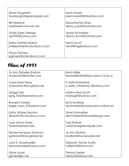| <b>Steve Daugherty</b>                           | Kevin Moore             |
|--------------------------------------------------|-------------------------|
| fourdaughs@greenapple.com                        | jaykmoore2000@yahoo.com |
| <b>Bill Freeland</b>                             | Diana Ramey-Sines       |
| wabfree@comcast.net                              | diana sue32@hotmail.com |
| Vickie (Lee) George                              | James Schmelzer         |
| vlg1953@yahoo.com                                | donna_jim10@hotmail.com |
| <b>Kathy Gartrell Jenkins</b>                    | Kenny Scott             |
| pvillepainter@columbus.rr.com                    | ultra96frog@yahoo.com   |
| <b>Penny Ginnery</b><br>pginnery@columbus.rr.com |                         |

| Jo Ann Detwiler Shahan   | <b>Kevin Miller</b>                   |
|--------------------------|---------------------------------------|
|                          |                                       |
| landlord22@frontier.com  | KevinMiller@fairfield-union.k12.oh.us |
|                          |                                       |
| Carol Eaton Roby         | E. Keith Rutherford                   |
| awesomec@sbcglobal.net   | e_keith_rutherford_ii@yahoo.com       |
|                          |                                       |
|                          |                                       |
| Gregg Foltz              | <b>Martha Peck Scott</b>              |
| greg_foltz@bankone.com   | mssfrog35@yahoo.com                   |
|                          |                                       |
| Ronald E Forbes          | <b>Ed Schmeltzer</b>                  |
| eagle_man_47@yahoo.com   | eschmeltzer@computech-online.net      |
|                          |                                       |
| Kathy (Glaze) Bornino    | Dave Schmeltzer                       |
| dbornino@columbus.rr.com |                                       |
|                          | dschmelzer@lancasterbingo.com         |
|                          |                                       |
| <b>Judy Grove Foster</b> | Carl Shahan                           |
| foster@denison.edu       | cshahan@greenapple.com                |
|                          |                                       |
| Denise Hampson Shannon   | Jo Ann Shahan                         |
| garbrandt@sbcglobal.net  | landlord@buckeyenet.net               |
|                          |                                       |
| Larry E. Householder     | Deborah Tanner Austin                 |
| lehouseholder@yahoo.com  | halfpint54@msn.com                    |
|                          |                                       |
| Gene Lones               | <b>Thomas Teeter</b>                  |
|                          |                                       |
| glones@jjllc.net         | Teeter2205@aol.com                    |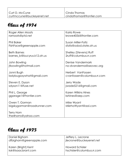| Roger Allen Moats           | Karla Rowe                 |
|-----------------------------|----------------------------|
| ramoats@ptd.net             | krowe4056@frontier.com     |
|                             |                            |
| <b>Phil Baker</b>           | Susan Miller-Foltz         |
| FishFace@greenapple.com     | sfoltz@odod.state.oh.us    |
| <b>Beth Barnes</b>          | Shelley (Stevens) Ruff     |
| barnes_b@bucyrus.k12.oh.us  | 2ruff@columbus.rr.com      |
|                             |                            |
| John Bowling                | Denise Vandermark          |
| jtbowling@hotmail.com       | no-dvanderma@seovec.org    |
|                             |                            |
| Jonni Bugh                  | Herbert VanFossen          |
| ladybugsaywhat@gmail.com    | cvanfossen@columbus.rr.com |
|                             |                            |
| Steven E. Dyson             | Jerry Wade                 |
| sdyson11@fuse.net           | jwade5216@gmail.com        |
|                             |                            |
| Phil L. George              | <b>Karen Wilkins Hines</b> |
| ggarage1@Frontier.com       | kshines@aep.com            |
| Owen T. Gorman              | Mike Wyant                 |
| bigskygorman@roadrunner.com | MikrhoWyant@aol.com        |
|                             |                            |
| <b>Terry Horn</b>           |                            |
| the4horns@yahoo.com         |                            |

| Daniel Bigham           | Jeffery L. Lecrone        |
|-------------------------|---------------------------|
| dfbigham@greenapple.com | ilecrone@buckeyenet.net   |
| Karen (Bright) Kent     | <b>Howard Schisler</b>    |
| ksk@isaacbrant.com      | hschisler@columbus.rr.com |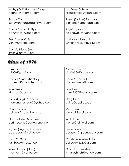| Kathy (Call) Hartman-Tharp                | Lisa Tener Schisler              |
|-------------------------------------------|----------------------------------|
| hartharp@hotmail.com                      | hschisler@columbus.rr.com        |
| Sandy Carr                                | <b>Sheryl (Stalder) Richards</b> |
| sandylehman@adamswells.com                | srichards@greenapple.com         |
| <b>Cathy Comer-Phillips</b>               | <b>Sherri Stevens</b>            |
| cpnurse25@yahoo.com                       | nc_snowbird@yahoo.com            |
| <b>Bev Dupler Voris</b>                   | Linda Ward Wyant                 |
| vorisw@yahoo.com                          | LWyant@columbus.rr.com           |
| Connie Friend Smith<br>smith.3204@osu.edu |                                  |

| Mike Berry                 | Alieen B. Jacobs         |
|----------------------------|--------------------------|
| mlb50@gmail.com            | giraffe936@yahoo.com     |
| Crystal Bussart (Beckley)  | Dean A. Jones III        |
| cbussart@onewriteco.com    | djones@webeit.com        |
| Ken Bussart                | <b>Paul Kinser</b>       |
| kbussart@ups.com           | kinser1957@yahoo.com     |
| Mark (Greg) Chancey        | Greg Kline               |
| markonaheritage2@yahoo.com | gkline@capital.edu       |
| <b>Clint Childers</b>      | Mike Layne               |
| cchilder@columbus.rr.com   | mea_2@excite.com         |
| Natalie Fisher McCune      | <b>Rod Nutter</b>        |
| curtmccune@buckeyenet.net  | rnutter@fairfieldi.com   |
| Agnes (Fugate) Kitchens    | Dean Parsons             |
| ace1beach@yahoo.com        | dparsons@greenapple.com  |
| John C. Griffith           | Charlene Rowles Siplak   |
| jgriffi@columbus.rr.com    | balloonlvr5280@q.com     |
| Karen Hanna (Horn)         | <b>Gina Blum Smalley</b> |
| the4horns@yahoo.com        | rsmalleyhvch@yahoo.com   |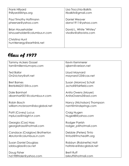| Frank Hillyard                              | Lisa Trocchia-Balkits   |
|---------------------------------------------|-------------------------|
| fhillyard@khps.org                          | Itbalkits@gmail.com     |
| Paul Timothy Hoffmann                       | Daniel Weaver           |
| pheenze@yahoo.com                           | danw1911@yahoo.com      |
| <b>Brian Householder</b>                    | David L. White "Whitey" |
| bhouseholder@columbus.rr.com                | vlwdlw@altavista.com    |
| Christina Hunt<br>hunt4energy@earthlink.net |                         |

| <b>Tammy Ackers Gossel</b>    | Kevin Kemmerer             |
|-------------------------------|----------------------------|
|                               |                            |
| tam@millenniumvpro.com        | ajkem@verizon.net          |
|                               |                            |
| <b>Ted Bailor</b>             | Lloyd Maynard              |
| On2victory@att.net            | maynard123@cox.net         |
|                               |                            |
| <b>Bret Barnes</b>            | Susan (Morrow) Scholl      |
| Bret64462515@cs.com           | Jscholl@fairfield.com      |
|                               |                            |
| Dale Barnhart                 | Anita Owens (Moyer)        |
|                               |                            |
| dbarnhart001@columbus.rr.com  | AnitaOwens3@aol.com        |
|                               |                            |
| Robin Bosch                   | Nancy (Nicholson) Thompson |
| william.mcbroom@sbcglobal.net | nant@mindsprings.com       |
|                               |                            |
| Patti (Covey) Lucus           | Craig Nugen                |
| mplucas@insight.rr.com        | Nuge48@yahoo.com           |
|                               |                            |
| Georgia (Cox) Hass            | Rodger Parrish             |
| georgiahass@hotmail.com       | rodger_p@hotmail.com       |
|                               |                            |
| Candace (Craiglow) Brotherton | Debbie (Peters) Tinto      |
| 4bruton@columbuss.rr.com      | tintod@fmchealth.org       |
|                               |                            |
| <b>Susan Daniel Douglass</b>  | Robbyn (Robinette) Holt    |
| sddouglass@cox.net            | holtsteve@sbcglobal.net    |
|                               |                            |
| Doug Fisher                   | <b>Brett Ruff</b>          |
|                               | brkruff@hotmail.com        |
| hd1989rider@yahoo.com         |                            |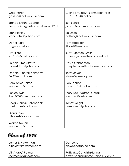| Greg Fisher                               | Lucinda "Cindy" (Schmelzer) Hiles |
|-------------------------------------------|-----------------------------------|
| gafisher@columbus.rr.com                  | LUCINDAD4@aol.com                 |
| Brenda (Allen) George                     | Jeff Scholl                       |
| BrendaGeorge@Fairfield-Union.k12.oh.us    | jscholl5@columbus.rr.com          |
| <b>Stan Highley</b>                       | Ed Smith                          |
| stanimals2@yahoo.com                      | edflying@columbus.rr.com          |
| Don Hillyard                              | <b>Tom Stebelton</b>              |
| hillgencon@aol.com                        | Stbltn10@msn.com                  |
| <b>Jim Hines</b>                          | Judy (Stemen) Smith               |
| jim31282@hotmail.com                      | alexandjudysmith@comcast.net      |
| Jo Ann Himes Brown                        | David Stephenson                  |
| mom2blast@yahoo.com                       | dstephenson@buckeye-express.com   |
| Debbie (Hunter) Kennedy                   | <b>Jerry Stover</b>               |
| DK2Del@aol.com                            | jstover@greenapple.com            |
| <b>Barb Keller Nelson</b>                 | <b>Bob Tanner</b>                 |
| wnbnelson@att.net                         | tannfam1@frontier.com             |
| Janice Irwin                              | Mary Lou (Watson) Caudill         |
| jirwin003@columbus.rr.com                 | ranmary@verizon.net               |
| Peggi (Jones) Hollenback                  | Kenny Wright                      |
| chetmates@aol.com                         | kwmarines@yahoo.com               |
| Diana Love<br>dlljackets@yahoo.com        |                                   |
| <b>Warren Nelson</b><br>wnbnelson@att.net |                                   |

| James D Ackerman       | Don Love                          |
|------------------------|-----------------------------------|
| pineviewjim@gmail.com  | elove@datasync.com                |
| Jill (Ardrey) Palmer   | Patty (McCandlish) Hanna          |
| ipalmer@cyrilscott.com | patty_hanna@berne-union.k12.oh.us |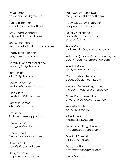| Molly McCray Stockwell             |
|------------------------------------|
| molly.stockwell@abbott.com         |
|                                    |
| Tracy "McCurdy" Notestine          |
| tracy.notestine@pnc.com            |
|                                    |
| <b>Beverly McFarland</b>           |
| BeverlyMcFarland@fairfield-        |
| union.k12.oh.us                    |
|                                    |
| Kevin Mohler                       |
| kevin.mohler@bovislendlease.com    |
|                                    |
|                                    |
| Rebecca (Becky) Moore - Pennington |
| beckympennington@yahoo.com         |
|                                    |
| Randall Moyer                      |
| randym76@hotmail.com               |
|                                    |
| Cathy (Nelson) Benca               |
| cbenca@columbus.rr.com             |
|                                    |
| Melody (Perry) Winegardner         |
| melodywinegardner@yahoo.com        |
|                                    |
| Elaine Ross Householder            |
| ehouseholder@columbus.rr.com       |
|                                    |
| Kenneth Rowles                     |
| kenrowles@aol.com                  |
|                                    |
| Mike Smeck                         |
| mdsmeck@twc.com                    |
|                                    |
| Deborah M. King (Snider)           |
| whooppssee@yahoo.com               |
|                                    |
| <b>Paul Mull Stewart</b>           |
| mixtrep@gmail.com                  |
|                                    |
| David Stretton                     |
| davidvstretton@gmail.com           |
|                                    |
| Vince Trocchia                     |
|                                    |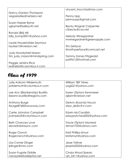|                               | vincent_trocchia@msn.com      |
|-------------------------------|-------------------------------|
| Nancy Gordon Thompson         |                               |
|                               |                               |
| vegasladies@netzero.net       | Penny Upp                     |
|                               | pennyupp@gmail.com            |
|                               |                               |
| Susan Harper Byrne            |                               |
| sgbyrne@bellsouth.net         | <b>Becky Wagner Carpenter</b> |
|                               | ctbecky@cox.net               |
|                               |                               |
| Ronald (Bill) Hill            |                               |
| billy_bump2001@yahoo.com      | Melody Winegardner            |
|                               | mwinegardner@greenapple.com   |
|                               |                               |
| Laurie Householder Seymour    |                               |
| laurie613@verizon.net         | Tim Zerface                   |
|                               |                               |
|                               | timothyzerface@comcast.net    |
| <b>Judy Howdyshell Mason</b>  |                               |
| tim_judy_mason@mindspring.com | Tammy Zornes Fitzgerald       |
|                               |                               |
|                               | patfitz12@hotmail.com         |
| Peggie Jenkins Rice           |                               |
| redhelix3@columbus.rr.com     |                               |
|                               |                               |

| <b>Julie Ankrom Wildermuth</b> | William "Bill" Hines        |
|--------------------------------|-----------------------------|
| jwildermuth@columbus.rr.com    | yogi621@yahoo.com           |
|                                |                             |
| Lee Ann (Blankenship) Bustillo | Karen (Tipton) Kemmerer     |
| leeann.bustillo@regions.com    | ajkem@verizon.net           |
| Anthony Burge                  | DeAnn (Koontz) Houck        |
| tburge8768@wowway.com          | stew_de@cfl.rr.com          |
|                                |                             |
| Carrie Johnston Campbell       | Edwin McCandlish            |
| jcampb23@columbus.rr.com       | prissypatches2002@yahoo.com |
|                                |                             |
| <b>Beth Chancey Love</b>       | Tracie (Tipton) Monreal     |
| elove@datasync.com             | temon722@yahoo.com          |
| Roger Clonch                   | Kristi Phillips-Smurr       |
| Rogerclonch@yahoo.com          | kristismurr@yahoo.com       |
|                                |                             |
| Lisa Comer Dinger              | <b>Jesse Tolliver</b>       |
| ljdinger@msn.com               | jessetx2002@yahoo.com       |
|                                |                             |
| Susan Fugate Diddle            | Cinda Wood Spears           |
| nanasd44@adelphia.net          | cjh_2411@yahoo.com          |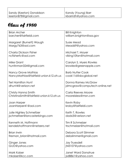| <b>Brian Archer</b>                      | <b>Bill Knighton</b>                              |
|------------------------------------------|---------------------------------------------------|
| barcher@fairfieldi.com                   | william.knighton@ssa.gov                          |
| Margaret (Burnett) Waugh                 | Susie Mead                                        |
| Margy763@aol.com                         | Mead69@yahoo.com                                  |
| Charla Dickson Fisher                    | Michael T. Moyer                                  |
| ncfisherfc@aol.com                       | viking10fan@hotmail.com                           |
|                                          |                                                   |
| Mike Grant<br>huntinman324@gmail.com     | Carolyn S. Myers Rowles<br>krowles@greenapple.com |
|                                          |                                                   |
| Nancy Grove Mathias                      | <b>Barb Nutter Cook</b>                           |
| NancyMathias@fairfield-union.k12.oh.us   | cook116@sbcglobal.net                             |
| <b>Teri Hamilton Hunt</b>                | Donna Ramey McGraw                                |
| dhunt4@verizon.net                       | jdmcgraw@computech-online.net                     |
| Christy Hanna Smith                      | Carla Reeves Moore                                |
| ChristinaSmith@fairfield-union.k12.oh.us | mooreisless@msn.com                               |
|                                          |                                                   |
| Joan Harper<br>JoanHarper41@aol.com      | Kevin Roby<br>kroby@fairfieldi.com                |
|                                          |                                                   |
| Julie Highley Schmeltzer                 | Keith T. Rowles                                   |
| jschmeltzer@lancasterbingo.com           | dadx3@verizon.net                                 |
| Kenneth M. Hoffmann                      | Tim R Schmelzer                                   |
| kendebhoffmann@netzero.net               | trschmelzer@hotmail.com                           |
| <b>Brian Irwin</b>                       | Debora Scott Slimmer                              |
| fireman brian@hotmail.com                | debslimmer@gmail.com                              |
|                                          |                                                   |
| Ginger Jones<br>GIJO@yahoo.com           | Jay Truesdell<br>jt43107@yahoo.com                |
|                                          |                                                   |
| <b>Mark Kaiser</b>                       | <b>Janet Ward Donahue</b>                         |
| mkaiser@kcc.com                          | jsd8861@yahoo.com                                 |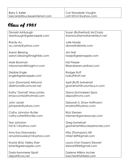Cat Woodside Vaughn cat123161@yahoo.com

| Donald Ashbaugh                                 | Susan (Rutherford) McCrady  |
|-------------------------------------------------|-----------------------------|
| dashbaugh@greenapple.com                        | shamrockfarms@ameritech.net |
|                                                 |                             |
| Randy Au                                        | <b>Julie Mosier</b>         |
| au_randy@yahoo.com                              | abwxz@allstate.com          |
|                                                 |                             |
| Aaron Blessing                                  | <b>Jim Noll</b>             |
| aaron.blessing@insightbb.com                    | rosejo@greenapple.com       |
|                                                 |                             |
| Mark Bowman                                     | <b>Hal Presser</b>          |
| mbowman4@insight.rr.com                         | flblackbearcub@aol.com      |
|                                                 |                             |
| Debbie Engle                                    | Rodger Ruff                 |
| engle@greenapple.com                            | rodruff@att.net             |
|                                                 |                             |
| Lynn (Downard) Allmond<br>dlallmond@comcast.net | April (Ruff) Swinehart      |
|                                                 | gswinehart@columbus.rr.com  |
| Kathy "Gornall" Maccombs                        | Diana (Schmelzer) Sipos     |
| kmaccombs@hotmail.com                           | dsipos@mchs.com             |
|                                                 |                             |
| John Janeri                                     | Deborah S. Shaw Hoffmann    |
| johnjaneri@yahoo.com                            | kmdshoff@yahoo.com          |
|                                                 |                             |
| Cathy Johnston Rutter                           | <b>Rick Stemen</b>          |
| cathy.rutter@frontier.com                       | rstemen@gamesacorp.com      |
|                                                 |                             |
| Ted Johnston                                    | Greg Swinehart              |
| hd1611@yahoo.com                                | gswinehart@buckeyehonda.com |
|                                                 |                             |
| Amy Kay Starowesky                              | Nita (Thompson) Hill        |
| amystarowesky31@yahoo.com                       | nitak1449@gmail.com         |
| Krystal (Kris) Kelley Starr                     | Laura (Van Fossen) Stewart  |
| kstarr@greenapple.com                           | Istewart004@gmail.com       |
|                                                 |                             |
| Darla Kemmerer Sipolt                           | Darlene Wilkins Archer      |
| dsipolt@cox.net                                 | barcher@fairfieldi.com      |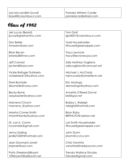| Jeri Lucas (Beard)              | <b>Tom Graf</b>           |
|---------------------------------|---------------------------|
| jlucas@greshaminc.com           | Igraf001@columbus.rr.com  |
|                                 |                           |
|                                 |                           |
| Don Betler                      | <b>Todd Householder</b>   |
| Amxdon@aol.com                  | tlhouse@greenapple.com    |
|                                 |                           |
| <b>Brian Bevan</b>              | <b>Tracy Lecrone</b>      |
|                                 |                           |
| brianb38@msn.com                | tracy@lecronecpa.com      |
|                                 |                           |
| <b>Jeff Conrad</b>              | Sally Mathias Vogliano    |
| jactam8@aol.com                 | sallyvogliano@comcast.net |
|                                 |                           |
|                                 |                           |
| <b>Vickie Bolinger Dubberly</b> | Michael J. McCrady        |
| vickiebee413@yahoo.com          | mjmccrady@ameritech.net   |
|                                 |                           |
| Sheri Burnside                  | Eric Mozingo              |
|                                 |                           |
| slburnside@vorys.com            | demozingo@yahoo.com       |
|                                 |                           |
| <b>Becky Byrne</b>              | Annette O'Reed Dorval     |
| sassybaxter@yahoo.com           | bld@gwi.net               |
|                                 |                           |
| Marvena Church                  | Bobby L. Raleigh          |
|                                 |                           |
| marvena_@yahoo.com              | raleighii@hotmail.com     |
|                                 |                           |
| Marsha Comer-Smith              | <b>Brian Roby</b>         |
| tmsmithfamily@yahoo.com         | BRPHOTO@verizon.net       |
|                                 |                           |
|                                 |                           |
| Dr. Lori A. Cronin              | Lori Smith Householder    |
| Icronindds@gmail.com            | tlhouse@greenapple.com    |
|                                 |                           |
| <b>Jenny Darling</b>            | John Sturm                |
| jen8675309@hotmail.com          | jsturm@cccis.com          |
|                                 |                           |
|                                 |                           |
| Jean Downard Janeri             | Chris VanAtta             |
| jmjaneri@aol.com                | vanatta4@netpluscom.com   |
|                                 |                           |
| Patty (Freeland) Bryant         | Trenda Wallace Strudas    |
|                                 |                           |
| 109bryant@bellsouth.net         | Trendas@gmail.com         |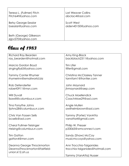| Teresa L. (Fullmer) Fitch                    | Lori Weaver Collins  |
|----------------------------------------------|----------------------|
| Fitch64t@yahoo.com                           | abclac4@aol.com      |
| <b>Betsy George-Sesslar</b>                  | Scott West           |
| bsesslar@yahoo.com                           | aiden43150@yahoo.com |
| Beth (George) Gilkerson<br>ejpv570@yahoo.com |                      |

| <b>Richard Ray Bearden</b>                                                     | Amy King-Black                                             |
|--------------------------------------------------------------------------------|------------------------------------------------------------|
| ray_bearden@hotmail.com                                                        | backblack2311@yahoo.com                                    |
| Marcia Gordon Boyd                                                             | <b>Tim Lifer</b>                                           |
| singingfly65@yahoo.com                                                         | tlifer@gmail.com                                           |
| <b>Tammy Canter Rhymer</b>                                                     | Christina McClaskey Tanner                                 |
| rhymerinn@emailworld.biz                                                       | tannfam1@frontier.com                                      |
| Rob Defenderfer                                                                | John Maynard                                               |
| robert0911@msn.com                                                             | jhmaynard@aep.com                                          |
| <b>Will Duvall</b>                                                             | <b>Chuck Moellendick</b>                                   |
| lisawill@columbus.rr.com                                                       | CoachMoe29@aol.com                                         |
| Tina Forsythe Johns                                                            | Angie Mullen                                               |
| tjohns28@columbus.rr.com                                                       | awilhelmbrown@gol.com                                      |
| Chris Van Fossen Sells                                                         | Tammy (Porter) VanAtta                                     |
| bcsells@aol.com                                                                | vanatta4@gmail.com                                         |
| Cheryl Fullmer-Teisinger                                                       | Philip W. Presser                                          |
| rteising@columbus.rr.com                                                       | p33065@wmconnect.com                                       |
| <b>Tim Gatton</b>                                                              | Sandy (Shaw) McCoy                                         |
| gatton4@msn.com                                                                | musicmccoys@yahoo.com                                      |
| Deanna George Throckmorton<br>DeannaThrockmorton@fairfield-<br>union.k12.oh.us | Ann Trocchia-Taiganides<br>trocchia-taiganides@hotmail.com |
|                                                                                | Tammy (VanAtta) Nusser                                     |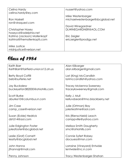| Celina Hardy                 | nussert@yahoo.com                |
|------------------------------|----------------------------------|
|                              |                                  |
| celina.hardy@ey.com          |                                  |
|                              | Mike Westenbarger                |
|                              |                                  |
| Ron Haskell                  | michaelwestenbarge@sbcglobal.net |
| ron@viraquest.com            |                                  |
|                              |                                  |
|                              | David Winegardner                |
| Christopher Hosey            | DLWINEGARDNER@AOL.COM            |
|                              |                                  |
| hoseycd@adelphia.net         |                                  |
| Katrina (Jackson) Mollenkopf | Eric Zeigler                     |
| katrina@themollenkopfs.com   | ericzeigler@prodigy.net          |
|                              |                                  |
|                              |                                  |
| Mike Justice                 |                                  |
|                              |                                  |
| mldnjustice@verizon.net      |                                  |

| Keith Barr                              | Alan Kilbarger                                      |
|-----------------------------------------|-----------------------------------------------------|
| KeithBarr@fairfield-union.k12.oh.us     | alan.kilbarger@gmail.com                            |
| <b>Betty Boyd Coffill</b>               | Lori (King) McCandlish                              |
| beb@surferie.net                        | lorimccandlish@yahoo.com                            |
| Jay Buckalew                            | <b>Tracey Mckenna Sweeney</b>                       |
| buckeyefan382000@ohiohills.com          | traceyksweeney@gmail.com                            |
|                                         |                                                     |
| Scott Burke<br>aburke10@columbus.rr.com | Kelly J. Mull<br>kelluvsbears@tmo.blackberry.net    |
|                                         |                                                     |
| Jim Case                                | Julie (Ortman) Bay                                  |
| camp_case@verizon.net                   | julesteatime@aol.com                                |
| Susan (Eckle) Hedrick                   | Kris (Rienschield) Leach                            |
| dsh514@aol.com                          | camppville@yahoo.com                                |
| Julie Edgington Foster                  | <b>Melissa Smith Daugherty</b>                      |
| juleafoster@sbcglobal.net               | smci@ohiohills.com                                  |
| Leslie (Graf) Cornett                   | Connie Syfert Robey                                 |
| lessity@sbcglobal.net                   | docsuess@msn.com                                    |
|                                         |                                                     |
| John Hanna<br>jthannajr@mail.com        | Lorraine (Vineyard) Entwisle<br>lentwisle@nc.rr.com |
|                                         |                                                     |
| Penny Johnson                           | Tracy Westenbarger-Shahan                           |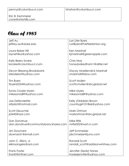| Jeff Au                             | Lori Lifer Byers                   |
|-------------------------------------|------------------------------------|
| jeffrey.au@duke.edu                 | LoriByers@FairfieldUnion.org       |
| Laura Baker Hill                    | <b>Ken Marshall</b>                |
| laynehillus@yahoo.com               | kjmarshall@greenapple.com          |
| Kelly Beery Snoke                   | Chris May                          |
| ksnoke@columbus.rr.com              | honeybakedham1@alltel.net          |
| Devon Blessing Brooksbank           | <b>Stacey Moellendick Marshall</b> |
| blesdekat@yahoo.com                 | smarshall@bbw.com                  |
| Tim Byers                           | <b>Scott Mullen</b>                |
| tbyers0224@yahoo.com                | scottcmullen@sbcglobal.net         |
| Sonia Crozier Myers                 | Mike Myers                         |
| mikesonia89@yahoo.com               | mikesonia89@yahoo.com              |
| Joe Defenderfer                     | Kelly (Oldaker) Brown              |
| afrpilot@hotmail.com                | countrygirl101866@yahoo.com        |
| <b>Scott Deuschle</b>               | Mark Ortman                        |
| js2443@aol.com                      | markortman@sbcglobal.net           |
| Dan Donahue                         | Mike Rife                          |
| dan.donahue@communitybancshares.com | mrife002@woh.rr.com                |
| Jim Downard                         | <b>Jeff Schmelzer</b>              |
| downard1@email.com                  | jdschmelzer@juno.com               |
| John C. Elkins, Jr.                 | Randall Scott                      |
| elkinsangela@aol.com                | randall_scott@addisonwhitney.com   |
| <b>Frank Foster</b>                 | Jennifer (Seals) Hanes             |
| frankf@infinet.com                  | traderjennifer@yahoo.com           |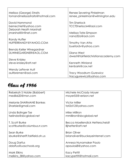| Melissa (George) Straits         | Renee Severing Pinkelman            |
|----------------------------------|-------------------------------------|
| tomandmelissastraits@hotmail.com | renee_pinkelman@wilmington.edu      |
|                                  |                                     |
| David Hammond                    | <b>Tim Sherlock</b>                 |
| bernechief@yahoo.com             | TCCTSherlock4@aol.com               |
| Deborah Heath Marshall           |                                     |
| jmarshal@infinet.com             | Melissa Tate-Simpson                |
|                                  | nana32a@aol.com                     |
| Randy Huffer                     |                                     |
| HUFFERRANDY@YAHOO.COM            | Timothy Van Atta                    |
|                                  | buefordv@yahoo.com                  |
| Brenda Keller Winegardner        |                                     |
| DLWINEGARDNER@AOL.COM            | Diana West                          |
|                                  | dwest@fairfieldchristianacademy.com |
| Steve Knisley                    |                                     |
| steve-knisley@att.net            | Kenneth Winland                     |
|                                  | kenbark@cox.net                     |
| Wendy LeFever Ault               |                                     |
| aultbremen@aol.com               | <b>Tracy Woodrum Gurewicz</b>       |
|                                  | tracygurewicz@yahoo.com             |

| Rebekah S Noble (Babbert)      | Michele McCrady Moyer           |
|--------------------------------|---------------------------------|
| medik620@msn.com               | moyer55@verizon.net             |
| <b>Melanie SHARMANE Bankes</b> | <b>Victor Miller</b>            |
| Sharbie@gmail.com              | tat2d12@yahoo.com               |
| Linda Bolinger Tse             | Mike Milliron                   |
| tselinda@sbcglobal.net         | mmilliron@sbcglobal.net         |
| T. Scott Burke                 | Becca Moellendick Hetterscheidt |
| scottburke@columbus.rr.com     | Bihetter@att.net                |
| Sean Burke                     | <b>Brian Oliver</b>             |
| sburke@sheriff.fairfield.oh.us | brianoliver@buckeyeinternet.com |
| Doug Darfus                    | Annesa Nunamaker Paulo          |
| ddarfus@uaschools.org          | apaulo68@yahoo.com              |
| <b>Mark Elkins</b>             | Kacy Pettit                     |
| melkins_38@yahoo.com           | kacypettit@hotmail.com          |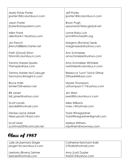| <b>Marla Fisher Porter</b> | <b>Jeff Porter</b>          |
|----------------------------|-----------------------------|
| jporter18@columbus.rr.com  | jporter18@columbus.rr.com   |
| <b>Jason Foster</b>        | Bryan Pugh                  |
| jfoster@ohiopatent.com     | opryman67@sbcglobal.net     |
| Allen Frank                | Lynne Roby Lutz             |
| allenfrank11@yahoo.com     | lynnr@fmchealth.org         |
| Jim French                 | Margina (Romine) Seals      |
| jfrench0886@charter.net    | marginaseals@yahoo.com      |
| Faith (Good) Shinn         | Ann Schmelzer               |
| fshinn@columbus.rr.com     | annschmelzer@yahoo.com      |
| <b>Tammy Harper-Sparks</b> | Amy Schmelzer-Whitaker      |
| Ttamsprks@aol.com          | awhitake@columbus.rr.com    |
| Tammy Holder McCullough    | Rebecca "Lynn" Swick Dittoe |
| tammymc@insight.rr.com     | Dittoe444@aol.com           |
| <b>Bruce Imler</b>         | <b>Ulysses Thompson</b>     |
| bimler72@verizon.net       | usthompson111@yahoo.com     |
| <b>Bill Janeri</b>         | <b>Jim West</b>             |
| bill_janeri@yahoo.com      | jwest8@columbus.rr.com      |
| Scott Landis               | Mike Williams               |
| slandis8@hotmail.com       | mdw.1@hotmail.com           |
| Denise Layne Azbell        | <b>Todd Winegardner</b>     |
| Neecypooh1@aol.com         | ToddWinegardner@gmail.com   |
| Scott Mast                 | Melissa Withem              |
| scottmast29@comcast.net    | mjwithem@wowway.com         |

| Julie (Ackerman) Singer  | Catherine Ketcham-Kalb |
|--------------------------|------------------------|
| jsinger1@columbus.rr.com | CFKalb@hotmail.com     |
| Leetoria (Bivens) Seimer | Amy (Lori) Dupler      |
| Iseimer@hotmail.com      | tink5215@yahoo.com     |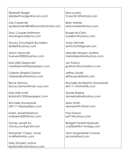| Elizabeth Bolger                                    | Errol Lowery                    |
|-----------------------------------------------------|---------------------------------|
| elizabeth.bolger@wcom.com                           | CoachE1@Hotmail.com             |
| Zoe Carpenter                                       | <b>Brian Mahler</b>             |
| spoiledrottenBEARSmom@hotmail.com                   | brianmahler@rrohio.com          |
| Staci Cooper-Hoffmann                               | <b>Russell McCarty</b>          |
| stacengrace@juno.com                                | russellom@yahoo.com             |
| <b>Stacey (Courtright) Buckalew</b>                 | Andy Mitchell                   |
| slb4069@yahoo.com                                   | amitche70@gmail.com             |
| <b>Aaron Deuschle</b>                               | Melodie Morgan-Jardine          |
| truewest2002@yahoo.com                              | melodiejardine@yahoo.com        |
| Kristi (Hill) Disbennett                            | <b>Jim Patrick</b>              |
| medisbennett@peoplepc.com                           | jpatrick1@rochester.rr.com      |
| Celeste (Shields) Dotson                            | <b>Jeffrey Qualls</b>           |
| cblessedby5@yahoo.com                               | jeffreyqualls@aol.com           |
| <b>Bruce Harmon</b>                                 | Rochelle (Schlereth) Howdyshell |
| bruce.harmon@rndc-usa.com                           | drh1111@ohiohills.com           |
| Kristi (Hill) Smith                                 | Daniel Sheline                  |
| kristismith123@peoplepc.com                         | danielsheline@yahoo.com         |
| Rochelle Howdyshell                                 | Sean Smith                      |
| drh1111@peoplepc.com                                | seanesmith1@aol.com             |
| Karen Jewell Robinson                               | <b>Paul Smeck</b>               |
| evilkaren2000@msn.com                               | ps915@yahoo.com                 |
| Stacey Jewell Au                                    | Bridgett Tackett-Byzewski       |
| stacey.j.au@gmail.com                               | cazi@perfect-energy.com         |
| Kristopher "Casey" Jones                            | Tami Zangmeister-Conrad         |
| nc4life@rrohio.com                                  | jactami@aol.com                 |
| Kelly (Dupler) Justice<br>kjustice6@columbus.rr.com |                                 |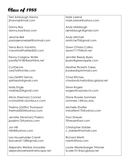| Terri Ashbaugh Hanna         | Mark Lorenzi                  |
|------------------------------|-------------------------------|
| jthannajr@mail.com           | mark.lorenzi@yahoo.com        |
|                              |                               |
|                              |                               |
| Danny Bay                    | Andy Middaugh                 |
| danny.bay@aol.com            | ajmiddaugh@gmail.com          |
|                              |                               |
|                              |                               |
| Jerome Bell                  | Andy Mitchell                 |
| pastorjeromebell@hotmail.com | amitche70@gmail.com           |
|                              |                               |
| Trena Boch VanAtta           | Dawn O'Hara Collins           |
|                              |                               |
| tvanatta@FairfieldDD.com     | dawn71770@att.net             |
|                              |                               |
| Penny Craiglow Wolfe         | Jennifer Reedy Byers          |
| pwolfe74185@earthlink.net    |                               |
|                              | jbyers@greenapple.com         |
|                              |                               |
| <b>CurtDennis</b>            | <b>Heather Ricketts Yakes</b> |
| ced7x@frontier.com           | jhyakes@sprintmail.com        |
|                              |                               |
|                              |                               |
| Lisa DeWitt Dennis           | Chad Ritchey                  |
| spiritseats@gmail.com        | chadandcharity@sbcglobal.net  |
|                              |                               |
|                              |                               |
| Molly Engle                  | Steve Rogers                  |
| mollster22@gmail.com         | srogers@crproducts.com        |
|                              |                               |
| Alicia (Feeman) Conrad       | <b>Diane Rowles Sommers</b>   |
| rconrad5@columbus.rr.com     | sommers.14@osu.edu            |
|                              |                               |
|                              |                               |
| Thelma (Griffin) Thompson    | Michelle Shaffer              |
| thelmal2003@yahoo.com        | mshaffer4170@yahoo.com        |
|                              |                               |
|                              |                               |
| Jennifer (Hickman) Paskins   | <b>Traci Shreyer</b>          |
| jpaskins12@yahoo.com         | TShreyer@aol.com              |
|                              |                               |
| Jon Hill                     | Christopher Stalder           |
|                              |                               |
| hilln8@yahoo.com             | c_stalder@hotmail.com         |
|                              |                               |
| Lisa Householder Carroll     | <b>Richard Werth</b>          |
|                              | rwerth@ford.com               |
| lisacarroll1128@gmail.com    |                               |
|                              |                               |
| Alejandro Wehbe Gonzalez     | Laurie Westenbarger Trimmer   |
| alejandrowehbe@netscape.net  | Scaler101@sbcglobal.net       |
|                              |                               |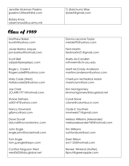| Jennifer Hickman Paskins               | TJ (Ketchum) Wise |
|----------------------------------------|-------------------|
| jpaskins12@earthlink.com               | tjwise5@gmail.com |
| Bobby Knox<br>robert.knox2@us.army.mil |                   |

| <b>Matthew Baker</b>      | Donna Lecrone Taylor            |
|---------------------------|---------------------------------|
| bunkhl@yahoo.com          | metdet92@yahoo.com              |
| Javier Barrios Jaques     | <b>Ferd Martin</b>              |
| javi.barrios@hotmail.com  | ferdmartin21@gmail.com          |
| Scott Bell                | <b>Shelly McCandlish</b>        |
| sabjab@peoplepc.com       | rothweim@chi.osu.edu            |
| Roger L. Cade II          | Marti McCrady Anderson          |
| Rogercade89@yahoo.com     | martimcanderson@yahoo.com       |
| Holly Cade (West)         | CheriLynn McFedrick Marsh       |
| Hollybcade26@yahoo.com    | marshclynn@aol.com              |
| <b>Joe Clark</b>          | Kim Montgomery                  |
| JCLARK1971@hotmail.com    | kimmontgomery@sbcglobal.net     |
| <b>Shane DeFazio</b>      | Cyndi Slone                     |
| sd43147@yahoo.com         | cslone@columbus.rr.com          |
| <b>Nancy Downard</b>      | Clyde E. Southers               |
| glfprncs@aol.com          | mrwheels71@gmail.com            |
| Dave Duvall               | Melissa Williams (Alexander)    |
| dduvall@novavisioninc.com | melissaalexander740@hotmail.com |
| John Engle                | Tim Williams                    |
| engle.john@rocketmail.com | rushfan4sure@aol.com            |
| Tom Engle                 | Sheri Wilson                    |
| tom.g.engle@espn.com      | srw1125@hotmail.com             |
| Cynthia Ferguson West     | Renee' Winland (Huffer).        |
| west0633@sbcglobal.net    | lilpnut@greenapple.com          |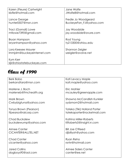| Karen (Fleure) Cartwright  | Jane Wolfe              |
|----------------------------|-------------------------|
| kbfle@hotmail.com          | JWolfe8@hotmail.com     |
|                            |                         |
| Lance George               | Fredie Jo Woodgeard     |
| hunter0507@msn.com         | BuckeyeFan_FJ@yahoo.com |
|                            |                         |
| Traci (Gornall) Lowe       | Jay Woodside            |
| mtlowe7390@gmail.com       | jay.woodside@avure.com  |
| Bryan Hampson              | Rod Young               |
| bryanhampson@yahoo.com     | ty213300@ohiou.edu      |
|                            |                         |
| Lora Keesee Maurer         | Shannon Zeigler         |
| Immjdm@buckeyeinternet.com | szeigler@avolve.net     |
|                            |                         |
| Kym Kerr                   |                         |
| kik@ohiostatebuckeyes.com  |                         |

| <b>Berk Bobo</b>       | Kati Levacy Maple            |
|------------------------|------------------------------|
| berkandtara@msn.com    | kati.maple@yahoo.com         |
|                        |                              |
|                        |                              |
| Marlene J. Boch        | Eric Mahler                  |
| marleneb@fmchealth.org | mcauley@greenapple.com       |
|                        |                              |
| Mark Brown             | Shawna McCandlish Kunkler    |
|                        |                              |
| Cwbybigtuna@yahoo.com  | sydsmom2@hotmail.com         |
|                        |                              |
| Tonya Brown (Pearson)  | Tateka (Tiki) Holland Porter |
|                        |                              |
| tfpearso@ralcorp.com   | tatekaporter@rocketmail.com  |
|                        |                              |
| Chad Buckalew          | Katrina Miller-Roberts       |
| buckalewump@yahoo.com  | KRoberts5@insight.rr.com     |
|                        |                              |
|                        |                              |
| Aimee Canter           | <b>Bill Joe O'Reed</b>       |
| CICANTER@ALLTEL.NET    | dibillyoh@yahoo.com          |
|                        |                              |
| <b>Chad Canter</b>     | Ryan Reho                    |
|                        |                              |
| cicanter@yahoo.com     | rsnhr@hotmail.com            |
|                        |                              |
| <b>Jared Collins</b>   | Aimee Siders Canter          |
| dogboys90@aol.com      | canter@ee.net                |
|                        |                              |
|                        |                              |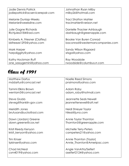| <b>Jodie Dennis Patrick</b>      | Johnathan Ryan Milby            |
|----------------------------------|---------------------------------|
| jodiepatrick@acservicerepair.com | milby26@hotmail.com             |
|                                  |                                 |
|                                  |                                 |
| Melanie Dunlap-Weeks             | Traci Stratton Mahler           |
| Melanie@weeksline.com            | tracimahler@verizon.net         |
|                                  |                                 |
|                                  |                                 |
| <b>Julie Gagne Richards</b>      | Danielle Thacker Ashbaugh       |
| Richjules3184@aol.com            | dashbaugh@greenapple.com        |
|                                  |                                 |
| Kimberly A. Friesner (Claffey)   | <b>Brooke Van Buren Conrad</b>  |
|                                  |                                 |
| bkfreeze1293@yahoo.com           | baconrad@westermancompanies.com |
|                                  |                                 |
| <b>Mark Harper</b>               | Sandy Wilson Risgaard           |
| harpdiggity@yahoo.com            | srisga@yahoo.com                |
|                                  |                                 |
|                                  |                                 |
| Kathy Hockman Ruff               | Ray Woodside                    |
| one_sassygemini@yahoo.com        | rwoodside@columbus.rr.com       |

| <b>Matthew Darfus</b>   | Noelle Reed Simons            |
|-------------------------|-------------------------------|
| mddarfus@comcast.net    | pnsimons@yahoo.com            |
|                         |                               |
| Tammi Elkins Brown      | Adam Roby                     |
| wentam3@comcast.net     | adam_roby@hotmail.com         |
| <b>Steve Grubb</b>      | <b>Jeannette Seals Newell</b> |
| steveg@franklin-gov.com | jeannettenewell@att.net       |
|                         |                               |
| Meridith Jones          | Heidi Shreyer Taylor          |
| brutusandbucks@aol.com  | hiles6@juno.com               |
|                         |                               |
| Dawn (Jordan) Greene    | Annie Taylor Thornton         |
| dawn.greene@cox.net     | Thornton5@greenapple.com      |
|                         |                               |
| Kristi Reedy Kenyon     | Michelle Terry-Peters         |
| kristi_kenyon@yahoo.com | campeters21@yahoo.com         |
|                         |                               |
| <b>Tim Kinser</b>       | Annie Thornton (Taylor)       |
| tpkinser@yahoo.com      | Annie_Thornton@Ameripac.com   |
|                         |                               |
| <b>Chad McNeal</b>      | Angie VanAtta/Seifert         |
| csm4019@yahoo.com       | aseifert2124@yahoo.com        |
|                         |                               |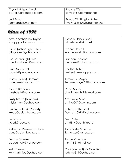| Crystal Milligan Swick | Shayne West                 |
|------------------------|-----------------------------|
| cswick@greenapple.com  | sdwest95@comcast.net        |
| Jed Rauch              | Ronda Whittington Miller    |
| jedrhonda@msn.com      | twc7406891062@earthlink.net |

| Amy Aneshansley Taylor          | Nichole (Jarvis) Knell     |
|---------------------------------|----------------------------|
| scrappygal4@yahoo.com           | nsknell@earthlink.net      |
| Laura (Ashbaugh) Dillon         | Leanne Jewell              |
| dilly_4ever@yahoo.com           | leannejewell1@yahoo.com    |
| Lisa (Ashbaugh) Sells           | <b>Brandon Lecrone</b>     |
| hondadirtriders@msn.com         | blecrone@cds-assoc.com     |
| Julie Ardrey Bell               | <b>Heather Miller</b>      |
| sabjab@peoplepc.com             | hmiller@greenapple.com     |
| Carrie (Baker) Demmel           | Jerome R. Moyer            |
| cjdemmel@yahoo.com              | Jerome.moyer29@yahoo.com   |
| <b>Marco Brancker</b>           | Chad Myers                 |
| meshaelb@yahoo.com              | chadmyers262@gmail.com     |
| Emily Brown (Lanham)            | Amy Roby Minor             |
| mlylanham@yahoo.com             | pminor001@woh.rr.com       |
| <b>Juli Burnside McCafferty</b> | E. Keith Rutherford        |
| jrmac@columbus.rr.com           | Duncan_0073@yahoo.com      |
| <b>Jeff Clark</b>               | <b>Brent Siders</b>        |
| jfclark@laca.org                | dmd814@earthlink.net       |
| Rebecca Devereaux June          | Janis Foster Smeltzer      |
| sjune@columbus.rr.com           | jksmeltzer@yahoo.com       |
| Deana Fisher-Ali                | <b>Shane Valentine</b>     |
| gagenmolly@yahoo.com            | mrv116@hotmail.com         |
| Kelly Friesner                  | Carri (Vincent) McCandlish |
| kellymatthieu@yahoo.com         | rudymc311@yahoo.com        |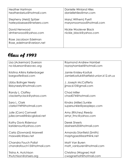| <b>Heather Hartman</b>                            | Danielle Winland Hiles   |
|---------------------------------------------------|--------------------------|
| heatherdarius@hotmail.com                         | daniellehiles@msn.com    |
| Stepheny (Held) Spitzer                           | Mary (Withem) Pyett      |
| harleyobsessed@netzero.com                        | marysmoomoos@hotmail.com |
| David Henwood                                     | Nickie Woolever Black    |
| dmhenwood@yahoo.com                               | nickie_black@yahoo.com   |
| Rose Jacobson Edelman<br>Rose_edelman@verizon.net |                          |

| Lisa (Ackerman) Duerson      | Raymond Andrew Hambel                  |
|------------------------------|----------------------------------------|
| no-Iduerson@seovec.org       | rayrayhambel@hotmail.com               |
|                              |                                        |
|                              |                                        |
| Kristina Atkins Kellenbarger | Jamie Knisley-Kostiuk                  |
| bargswife@aol.com            | JamieKostiuk@fairfield-union.k12.oh.us |
|                              |                                        |
| Libby Bolinger Neely         | J. Joseph McCafferty                   |
| libbyneely@hotmail.com       | jjmac610@gmail.com                     |
|                              |                                        |
|                              |                                        |
| Randy L. Claffey             | <b>Chad Miller</b>                     |
| clackettyclack@yahoo.com     | chad074@hotmail.com                    |
|                              |                                        |
| Sara L. Clark                | Kindra (Miller) Sunkle                 |
| clarksl1949@hotmail.com      |                                        |
|                              | supersunkle@peoplepc.com               |
|                              |                                        |
| Julie (Corn) Cornwell        | Amy (Ritchey) Reedy                    |
| juliecornwell@sbcglobal.net  | amyr_fmc@yahoo.com                     |
|                              |                                        |
| <b>Kathy Davis Ridenour</b>  | Derek Sheets                           |
|                              | dasheets35@hotmail.com                 |
| karidenour@yahoo.com         |                                        |
|                              |                                        |
| Carla (Downard) Maxwell      | Amanda Stanfield (Smith)               |
| maxwellc@bex.net             | maphgoed@earthlink.net                 |
|                              |                                        |
| Chandra Fouch Pollat         | Matt Van Buren                         |
| chandrafouch15@hotmail.com   | matt_vanburen@hotmail.com              |
|                              |                                        |
|                              |                                        |
| Trisha A. Hutchison          | Christina (Wagner) Holt                |
| thutchison@ohsers.org        | cwagnerholt@hotmail.com                |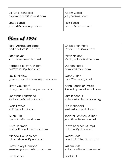| Jill (King) Schofield    | Adam Wetzel         |
|--------------------------|---------------------|
| airpower2002@hotmail.com | jesilynn@msn.com    |
| Jessie Landis            | <b>Rick Yeazel</b>  |
| jnjsports@peoplepc.com   | ryeazel@netzero.net |

| Tara (Ashbaugh) Bobo                          | <b>Christopher Morris</b>              |
|-----------------------------------------------|----------------------------------------|
| berkandtara@msn.com                           | Cmorris1969@wi.rr.com                  |
| Scott Boyer                                   | Mitch Noland                           |
| scott.boyer@mail.dss.mil                      | Mitch_Noland@2lmn.com                  |
|                                               |                                        |
| Rebecca (Brown) Wright<br>rw1262000@yahoo.com | <b>Shanan Peters</b><br>cambro@mac.com |
|                                               |                                        |
| Jay Buckalew                                  | <b>Wendy Price</b>                     |
| greenbaypackerfan45@yahoo.com                 | main25@prodigy.net                     |
|                                               |                                        |
| <b>Bryan Courtright</b>                       | Anna Randolph Wolski                   |
| dawgpound@wideopenwest.com                    | ARandolphwolski@aol.com                |
| Jonathan Ferbrache                            | Sam Ridenour                           |
| jiferbrache@hotmail.com                       | sridenou@cdeducation.org               |
|                                               |                                        |
| Sean Fowler                                   | Eric Rutherford                        |
| stf110@hotmail.com                            | erutherford@swlmk.com                  |
| <b>Tyson Hillis</b>                           | Jennifer Schriner/Milliner             |
| tysonhillis@hotmail.com                       | jenmilliner1@verizon.net               |
|                                               |                                        |
| Chris Hoffman                                 | Tonya Schriner (Stump)                 |
| chrishoffmandrm@gmail.com                     | tschriner@yahoo.com                    |
| Michael Householder                           | <b>Wesley Sells</b>                    |
| mhouseholder@pebo.com                         | hondadirtriders@msn.com                |
|                                               |                                        |
| <b>Jesse LeRoy Campbell</b>                   | <b>William Sells</b>                   |
| jesseleroycampbell@gmail.com                  | jadanaco@windstream.net                |
| Jeff Konkler                                  | <b>Brad Shull</b>                      |
|                                               |                                        |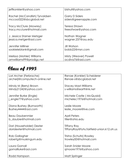| jeffkonkler@yahoo.com          | blshull@yahoo.com     |
|--------------------------------|-----------------------|
| Rachel (McCandlish) Tyrvaldsen | <b>Garry D Siders</b> |
| mccool322@sbcglobal.net        | siders@greenapple.com |
| Tracy McClure (Mowrey)         | Teresa Strawn         |
| tracy.mcclure@hotmail.com      | freeofwoe@yahoo.com   |
| J. Jessica Starner Metzger     | Nathan Wagner         |
| jessica.metger@aol.com         | wagner.237@osu.edu    |
| Jennifer Milliner              | <b>Jill Watson</b>    |
| sookieleblank@gmail.com        | bobb22@msn.com        |
| Melissa (Mohler) Williams      | Misty (Weaver) Powell |
| amwilliams99@prodigy.net       | ocdiva76@aol.com      |

| Lori Archer (Ferbrache)       | Renae (Konkler) Scheiderer                |
|-------------------------------|-------------------------------------------|
| archerjl@computech-online.net | Renae-s@sbcglobal.net                     |
|                               |                                           |
| Mindy M (Berry) Brown         | <b>Stacey Mast-Williams</b>               |
| Mindy21242@yahoo.com          | s-williams@earthlink.net                  |
|                               |                                           |
| Jennifer Burke (Engle)        | Michele Castle (McQuaid)                  |
| j_engle77@yahoo.com           | michelec1976@hotmail.com                  |
| Diana Bushey (Burnworth)      | Leslie Moore                              |
| Bushey4444@aol.com            | leslie_moore@live.com                     |
|                               |                                           |
| <b>Beau Daubenmier</b>        | <b>April Peters</b>                       |
| b_daubie@hotmail.com          | tiller@ohio.edu                           |
|                               |                                           |
| Dori (Householder) Dexter     | Tiffany Ray                               |
| doridexter@hotmail.com        | TiffanyRay@fuhs.fairfield-union.k12.oh.us |
|                               |                                           |
| Rob Gallagher                 | Trisha (Schultz) Rowley                   |
| robertg@muskingum.edu         | trowley00@hotmail.com                     |
| Laura Gornall                 | Sarah Snider Moore                        |
| gornallluke@aol.com           | simoore1976@yahoo.com                     |
|                               |                                           |
| Rodd Hampson                  | Matt Springer                             |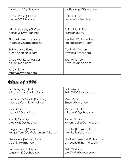| rhampson1@yahoo.com               | mattspringer7@gmail.com       |
|-----------------------------------|-------------------------------|
| Teresa Ward (Hardy)               | <b>Holly Sullivan</b>         |
| speder1026@aol.com                | nursehs@hotmail.com           |
| Kristi L. Hornsby (Claffey)       | <b>Talinn Tiller Phillips</b> |
| hornsbyx4@verizon.net             | tiller@ohio.edu               |
| Elizabeth Hurst (Lecrone)         | Heather Walls-Lindsey         |
| madhurst3@sbcglobal.net           | hmindell@gmail.com            |
| Bobbie Love-Eyman                 | Trent Whittington             |
| eyman@ohiohills.com               | tawhitti33@aol.com            |
| Chadwick Kellenbarger             | <b>Joel Williamson</b>        |
| ck4jc@mac.com                     | jwwou@yahoo.com               |
| Andy Kishler<br>mrzzzyp@yahoo.com |                               |

| Erin Loughrige (Britch)              | <b>Beth Myers</b>              |
|--------------------------------------|--------------------------------|
| erinandchad@hotmail.com              | Beth00100@yahoo.com            |
| Michelle McCrady (Conrad)            | Mike Myers                     |
| mccradyfarm@hotmail.com              | 3myers@gmail.com               |
| Ryan Claar                           | Michelle Smith                 |
| poptab1@gmail.com                    | mitchel37@yahoo.com            |
| Randy Courtright                     | Jacien Squires                 |
| bluejax25@yahoo.com                  | jacien.squires@gmail.com       |
| Megan Terry (Downard)                | Natalie (Trishman) Furniss     |
| MeganTerry@fairfield-union.k12.oh.us | nfurniss@bricker.com           |
| Stephanie (Felkner) Fyffe            | Elizabeth Truesdell Richardson |
| stephfyffe@msn.com                   | e_truesdell@hotmail.com        |
| Summer (Gall) Alspach                | <b>Beth Wallace</b>            |
| salspach33@yahoo.com                 | aw474896@ohiou.edu             |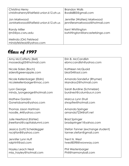| Christina Henry                                   | <b>Brandon Walls</b>            |
|---------------------------------------------------|---------------------------------|
| christinahenry@fairfield-union.k12.oh.us          | Bwalls885@gmail.com             |
| Jon Markwood                                      | Jennifer (Walters) Markwood     |
| JonMarkwood@faifield-union.k12.oh.us              | jenniferamarkwood@hotmail.com   |
| <b>Randy Miller</b>                               | Kent Whittington                |
| rim5@po.cwru.edu                                  | kwhittington@lancasterbingo.com |
| Melinda (Orr) Felstead<br>mindyfelstead@yahoo.com |                                 |

| Amy McCafferty (Bell)                                     | Erin B. McCandlish                               |
|-----------------------------------------------------------|--------------------------------------------------|
| moosedog05@hotmail.com                                    | ebmccandlish@yahoo.com                           |
| Nicole Siders (Boch)                                      | Kathleen McQuaid                                 |
| siders@greenapple.com                                     | bkat54@aol.com                                   |
|                                                           |                                                  |
| Nicole Kellenbarger (Eblin)<br>nicolekellenbarger@mac.com | Amanda Sandefur (Rhymer)<br>Mandroo2@hotmail.com |
|                                                           |                                                  |
| Lyon George                                               | Sarah Burdine (Schmelzer)                        |
| mindy_lyongeorge@hotmail.com                              | burdnest@columbus.rr.com                         |
| <b>Mathew Gordon</b>                                      | Marcus Lynn Shull                                |
| Gonetobama@yahoo.com                                      | shropfire@hotmail.com                            |
|                                                           |                                                  |
| Thomas Jason Hartman                                      | Amanda Springer                                  |
| noodle_44@yahoo.com                                       | amanda7234@att.net                               |
| Julie Heetland (Kishler)                                  | <b>Brad Springer</b>                             |
| jheetland@capitalalumni.com                               | bradspringer1@yahoo.com                          |
|                                                           |                                                  |
| Jessica (Lott) Scheidegger                                | Stefan Tanner (exchange student)                 |
| nscrirfan8@yahoo.com                                      | tanner.stefan@gmail.com                          |
| Jennifer Lynn Huff                                        | Trent N. West                                    |
| ralphhf@aol.com                                           | twest8598@wowway.com                             |
|                                                           |                                                  |
| <b>Hayley Leach Neal</b><br>miss_hayley@hotmail.com       | Phil Westenbarger<br>Phil@harmonyball.com        |
|                                                           |                                                  |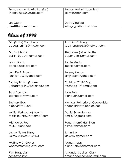| Brandy Anne Nowlin (Lansing) | Jessica Wetzel (Saunders) |
|------------------------------|---------------------------|
| Thelansings2002@aol.com      | jesilynn@msn.com          |
| Lee Marsh                    | David Ziegfeld            |
| dlm101@comcast.net           | intergage@hotmail.com     |

| Erin (Bailor) Daugherty    | Scott McCullough                |
|----------------------------|---------------------------------|
| edaugherty15@myway.com     | scott_engine581@hotmail.com     |
|                            |                                 |
|                            |                                 |
| Dustin J. Bope             | Stephanie (Miller) Nutter       |
| dustin_bope@hotmail.com    | stephnutter@gmail.com           |
|                            |                                 |
| Wyatt Borah                | Jamie Mehic                     |
|                            |                                 |
| dangle2@excite.com         | jmehic@gmail.com                |
|                            |                                 |
| Jennifer P. Brown          | Jeremy Nelson                   |
| jennifer1722@yahoo.com     | slimjnelson@yahoo.com           |
|                            |                                 |
|                            |                                 |
| Tammy Brown (Poore)        | Christina "Chris" Ogg           |
| upbeatdestiny05@yahoo.com  | mschogg10@gmail.com             |
|                            |                                 |
| Sara Donnard               | Alan Pugh                       |
|                            |                                 |
| sdonnard@mvnc.com          | alanpugh@gmail.com              |
|                            |                                 |
| <b>Zachary Elder</b>       | Monica (Rutherford) Cooperrider |
| elder.34@osu.edu           | cooperrider@globalco.net        |
|                            |                                 |
|                            |                                 |
| Mollie (Ferbrache) Kountz  | Daniel Schiedegger              |
| molliekountzMK@hotmail.com | emti309@gmail.com               |
|                            |                                 |
| Michael A. Fout            | Rena (Shonk) Hamilton           |
| fout.21@osu.edu            | grko80@gmail.com                |
|                            |                                 |
|                            |                                 |
| Jaime (Fyffe) Shirey       | Justin Siler                    |
| Jaime.Shirey@DFAS.mil      | siler5507@gmail.com             |
|                            |                                 |
| Matthew D. Groves          | Alana Snapp                     |
|                            |                                 |
| webmaster@mgroves.com      | alanastarr98@hotmail.com        |
|                            |                                 |
| Rich Hagopian              | Amanda (Squires) Clark          |
| rich@srbc.info             | amandadarleen@hotmail.com       |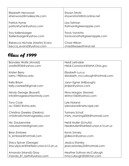| Elizabeth Henwood              | Shawn Strohl                 |
|--------------------------------|------------------------------|
| ehenwood@mailexcite.com        | shawnstrohl@btconline.net    |
| Patrick Hyme                   | Lisa Tatman                  |
| patrickhyme@yahoo.com          | ltatman@greenapple.com       |
| <b>Troy Kellenbarger</b>       | <b>Travis VanAtta</b>        |
| tkellenbarger@yahoo.com        | travisvanatta@greenapple.com |
| Rebecca Nichole (Martin) Evans | Chad Wilson                  |
| becca_evans2@yahoo.com         | chad@easeofmind.net          |

| Brandee Wolfe (Arnold)                | Heidi Leitnaker                       |
|---------------------------------------|---------------------------------------|
| swolfe3936@yahoo.com                  | Heidi.Comstock@MHA.Ohio.gov           |
|                                       |                                       |
| Kristen Berry                         | <b>Elizabeth Lucus</b>                |
|                                       |                                       |
| berry.198@osu.edu                     | elizabeth_mccullough@hotmail.com      |
|                                       |                                       |
| Kelly Brison                          | Jaryn Egner (Milbaugh)                |
| kelly.casteel3@gmail.com              | jlmjee@yahoo.com                      |
|                                       |                                       |
| Mindy George (Bussart)                | Nina Morgan (Moore)                   |
|                                       |                                       |
| info@imagesbymissmindy.com            | elnino1060@yahoo.com                  |
|                                       |                                       |
| <b>Tony Cook</b>                      | Lyle Noland                           |
| ac133601@ohio.edu                     | lylenoland@netscape.net               |
|                                       |                                       |
| Christina Greeley (Deskins)           | <b>Tamara Scholl</b>                  |
|                                       |                                       |
| christina@christinagreeley.com        | misty_morning2005@hotmail.com         |
|                                       |                                       |
| Nic Daubenmire                        | Heidi Muller (Schultz)                |
| ndaubenmire@gmail.com                 | HeidiMuller@fairfield-union.k12.oh.us |
|                                       |                                       |
| <b>Brian Embree</b>                   | <b>Kevin Snively</b>                  |
| b_embree@hotmail.com                  | jj24kevin@yahoo.com                   |
|                                       |                                       |
|                                       | Jessica Stanley                       |
| Stacy Spicer (George)                 |                                       |
| StacySpicer@fairfield-union.k12.oh.us | jessicastanley25@hotmail.com          |
|                                       |                                       |
| Amanda (Mandi) Gray                   | Heather Sullivan McCullough           |
| manda_81_beth@yahoo.com               | hmccullough503@msn.com                |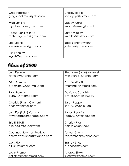| Greg Hockman                        | Lindsey Tipple         |
|-------------------------------------|------------------------|
| gregahockman@yahoo.com              | lindseytip@hotmail.com |
| Matt Jenkins                        | <b>Stacey Ward</b>     |
| mjenkins.mail@gmail.com             | sward@wilmington.edu   |
| Rachel Jenkins (Krile)              | Sarah Winsley          |
| rachel.b.jenkins@gmail.com          | swinsley@hotmail.com   |
| Joe Koehler                         | Jade Schorr (Wright)   |
| joeleekoehler@gmail.com             | jadeow@yahoo.com       |
| Lisa Langley<br>lisgail99@yahoo.com |                        |

| Jennifer Allen               | Stephanie (Lynn) Markwell |
|------------------------------|---------------------------|
| kittnclaw@yahoo.com          | lynnishere81@yahoo.com    |
|                              |                           |
| <b>Brian Bornino</b>         | <b>Tom Martindill</b>     |
| bfbornino06@hotmail.com      | tmartindill@hotmail.com   |
| Ryan Burnworth               | David McCandlish          |
| burny19@hotmail.com          | dm148300@ohiou.edu        |
|                              |                           |
| Cheridy (Ryan) Clement       | Sarah Pepper              |
| cheridyr@gmail.com           | sp313300@ohiou.edu        |
|                              |                           |
| Jennifer (Eblin) VanAtta     | Jarrod Redding            |
| tmvanatta@greenapple.com     | redd2037@yahoo.com        |
|                              |                           |
| Eric E. Elliott              | Cheridy Ryan              |
| eric.e.elliott@us.army.mil   | ryan.285@osu.edu          |
| Courtney Newman Faulkner     | Tanyan Shonk              |
| courtneyfaulkner01@yahoo.com | tanyanshonk@yahoo.com     |
|                              |                           |
| Cory Fisk                    | <b>Brandy Sines</b>       |
| cjfisk8.2@gmail.com          | b_sines@msn.com           |
|                              |                           |
| <b>Justin Friesner</b>       | Andrew Slivka             |
| justinfriesner@hotmail.com   | irishfire21@hotmail.com   |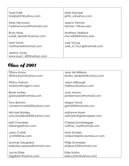| Todd Fyffe                             | Mark Stamper              |
|----------------------------------------|---------------------------|
| DaddyX37@yahoo.com                     | jettin_u@yahoo.com        |
| Molly Henwood                          | Jessica Tatman            |
| mollyhenwood@hotmail.com               | tatman.19@osu.edu         |
| <b>Rusty Hines</b>                     | <b>Matthew Wallace</b>    |
| russell_dean81@yahoo.com               | mw143200@ohiou.edu        |
| Matt Hyme                              | Julie Young               |
| matthyme@hotmail.com                   | Julie_A_Young@hotmail.com |
| Jeremy Jones<br>www.pup1_420@yahoo.com |                           |

| Tiffany Amon                | <b>Jean McWilliams</b>       |
|-----------------------------|------------------------------|
| tiffanyamon@yahoo.com       | kimiko_seraphiel@yahoo.com   |
|                             |                              |
| <b>Tiffany Ankrom</b>       | Jason Milbaugh               |
|                             |                              |
| tankrom@insight.rr.com      | mil60osu@yahoo.com           |
|                             |                              |
| <b>Brook Ardrey</b>         | Joan Mowry                   |
| gobrookie@hotmail.com       | joaniemowry@hotmail.com      |
|                             |                              |
| <b>Tony Bornino</b>         | Megan Munk                   |
| cameroncrazie22@yahoo.com   | gem350@hotmail.com           |
|                             |                              |
| Michael Bradley             | <b>Adrianne Myers</b>        |
| usmcbradley2003@yahoo.com   | adimyers@greenapple.com      |
|                             |                              |
| Kelli Chambers              | Chelsea Scheidegger          |
| lytleangel@msn.com          | caffine_7up@hotmail.com      |
|                             |                              |
|                             |                              |
| <b>Jason Cottrill</b>       | Nate Schisler                |
| Jcottrill@live.com          | nateschisler@columbus.rr.com |
|                             |                              |
| <b>Summer Daugherty</b>     | <b>Philip Schmelzer</b>      |
| kaleidoscopeyez@hotmail.com | philpac22@hotmail.com        |
|                             |                              |
| Jacob Elder                 | Kylie Sutton                 |
| bigjake01@yahoo.com         | kylie.sutton@yahoo.com       |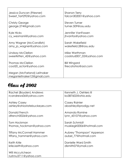| Jessica Duncan (Friesner)                                 | <b>Shanon Terry</b>      |
|-----------------------------------------------------------|--------------------------|
| Sweet_Tart292@yahoo.com                                   | falcon302001@yahoo.com   |
| <b>Christy George</b>                                     | <b>Steven Turner</b>     |
| george.274@gmail.com                                      | turner.509@osu.edu       |
| Kyle Hicks                                                | Jennifer VanFossen       |
| cy_wesmanii@yahoo.com                                     | jhvanfos@yahoo.com       |
| Amy Wagner (McCandlish)                                   | Sarah Wakefield          |
| amy_jo_wagner@yahoo.com                                   | wakefield.28@osu.edu     |
| Lindsay McClellan                                         | Mike Warthman            |
| sweetkitten_42@yahoo.com                                  | coolstud007_02@yahoo.com |
| Thomas McClellan                                          | <b>Bill Wingard</b>      |
| cool20_actor@yahoo.com                                    | firecatohio@aol.com      |
| Megan (McFarland) Leitnaker<br>meganleitnaker12@gmail.com |                          |

| Rachel (Boyden) Andrews         | Kenneth J. Oehlers III     |
|---------------------------------|----------------------------|
| rcandrews06@yahoo.com           | ko387602@ohio.edu          |
|                                 |                            |
| <b>Ashley Casey</b>             | Casey Rainier              |
| ashley@ohiostatebuckeyes.com    | abashley@prodigy.net       |
| Donald French                   | Amanda Romine              |
| dfrench0026@yahoo.com           | lynn_43107@yahoo.com       |
| Tom Hockman                     | Sarah Schmidt              |
| thomas_hockman@yahoo.com        | muskiegirl2006@hotmail.com |
| <b>Tiffany McConnell Hammer</b> | Aubrey "Thompson" Apperson |
| tiffany_hammer@yahoo.com        | aubel_77@hotmail.com       |
| Keith Krile                     | Danielle Ward Smith        |
| krile.keith@yahoo.com           | dlsmith07@ymail.com        |
| Will Mccutcheon                 |                            |
| rushnu3711@yahoo.com            |                            |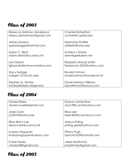| Rebecca Hartman (Anderson)    | <b>Chantel Rutherford</b>       |
|-------------------------------|---------------------------------|
| rebeccajohartman@gmail.com    | crutherf@capital.edu            |
|                               |                                 |
| <b>James Davison</b>          | Stephanie Shaffer               |
| gabbatagga@hotmail.com        | ss346203@ohio.edu               |
|                               |                                 |
| Adam C. Elliott               | Andrew L Shriner                |
| adam.elliott3@us.army.mil     | drew@geekdrew.net               |
| Levi Gibson                   | Elizabeth (Wood) Smith          |
| Igibson@allentowncreative.com | firedancer_0225@yahoo.com       |
|                               |                                 |
| <b>Stacy Nafzger</b>          | Ronald Tatman                   |
| nafzger-101@cotc.edu          | ronald.tatman@tyndall.af.mil    |
|                               |                                 |
| Stephen M. Nicklas            | <b>Daniel Harrison Williams</b> |
| snicklas@biblecollege.edu     | danwilliwms3@icloud.com         |

| Daniea Beery              | Shauna James Ross        |
|---------------------------|--------------------------|
| daniea.noelle@gmail.com   | sross1985_lynn@yahoo.com |
| Jesse Cook                | Elissa Lee               |
| jc239704@ohio.edu         | elee1832@columbus.rr.com |
| Elissa Britch Lee         | Jessica Poling           |
| elissa.d.lee@us.army.mil  | poling_jessie@yahoo.com  |
| Lindsay Hagopain          | Tiffany Pugh             |
| lindsayhagopain@yahoo.com | tpetchick23@hotmail.com  |
| Carrie Horsky             | Jared Warthman           |
| chorsky08@gmail.com       | jtwarthman@gmail.com     |

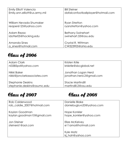| <b>Emily Elliott Valencia</b> | <b>Bill Steiner</b>                |
|-------------------------------|------------------------------------|
| Emily.ann.elliott@us.army.mil | dafalconfootballplayer@hotmail.com |
|                               |                                    |
| William Nevada Shumaker       | <b>Ryan Stretton</b>               |
| reaper6125@yahoo.com          | ryanstretton@yahoo.com             |
| Adam Rezac                    | <b>Bethany Swinehart</b>           |
| idotter05@hocking.edu         | swinehart.33@osu.edu               |
|                               |                                    |
| Amanda Sines                  | Crystal R. Wittman                 |
| a_sines@hotmail.com           | CW323905@ohio.edu                  |

| Adam Clark                   | Kristen Krile             |
|------------------------------|---------------------------|
| nl3385pd@yahoo.com           | kriskrile@sbcglobal.net   |
| Nikki Baker                  | Jonathan Logan Herd       |
| nikki@jonclarkassociates.com | jonathan.herd.2@gmail.com |
| <b>Stephanie Deskins</b>     | <b>Stacie Martindill</b>  |
| stephanie.deskins@osumc.edu  | martindill.2@osu.edu      |

Class of 2008

| <b>Rob Calderwood</b>       | Danielle Blake                |
|-----------------------------|-------------------------------|
| rob_caldie_2007@hotmail.com | daniebugluvs33@yahoo.com      |
| Kaylan Goodman              | Hope Konkler                  |
| kaylan.goodman10@gmail.com  | hope_konkler@yahoo.com        |
| Jon Steiner                 | Elize McKelvey                |
| steiner61@aol.com           | e11ama@hotmail.com            |
|                             | Kyle Matz<br>kj_hah@yahoo.com |